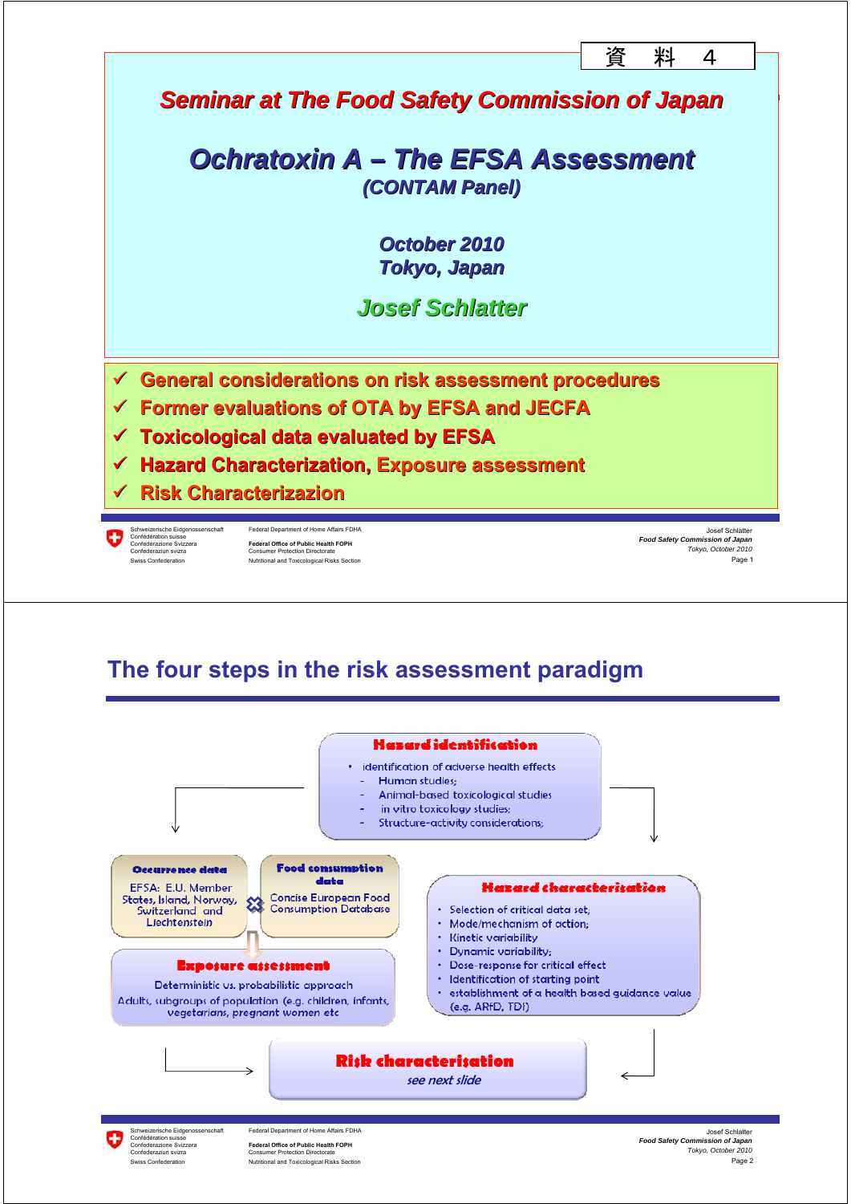

#### **The four steps in the risk assessment paradigm**



Confederazione Svizzera **Federal Office of Public Health FOPH** Confederaziun svizra Consumer Protection Directorate Swiss Confederation **Nutritional and Toxicological Risks Section**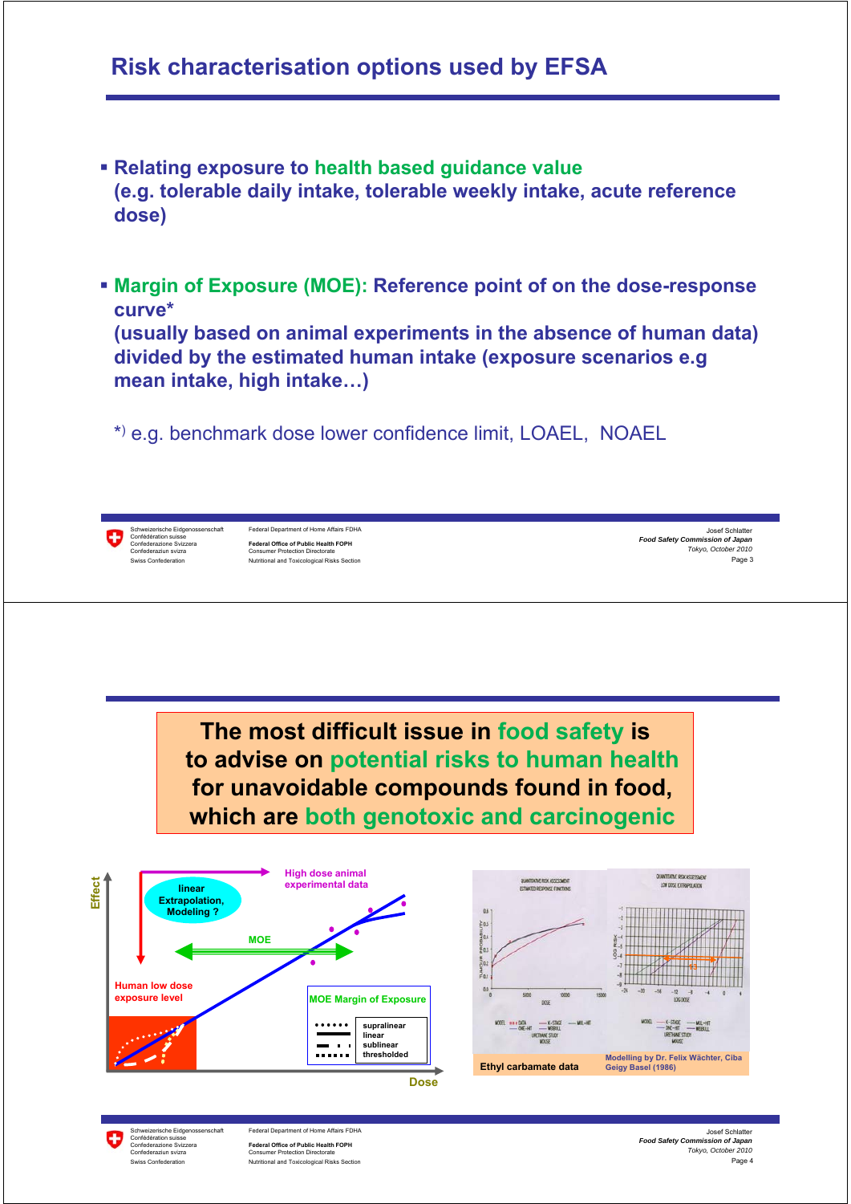#### **Risk characterisation options used by EFSA**

- **Relating exposure to health based guidance value (e.g. tolerable daily intake, tolerable weekly intake, acute reference dose)**
- **Margin of Exposure (MOE): Reference point of on the dose-response curve\***

**(usually based on animal experiments in the absence of human data) divided by the estimated human intake (exposure scenarios e.g mean intake, high intake…)**

\*) e.g. benchmark dose lower confidence limit, LOAEL, NOAEL



Schweizerische Eidgenossenschaft Federal Department of Home Affairs FDHA<br>Confédération suisse Confederazione Svizzera **Federal Office of Public Health FOPH** Confederaziun svizra Consumer Protection Directorate Swiss Confederation Nutritional and Toxicological Risks Section

Page 3 Josef Schlatter *Food Safety Commission of Japan Tokyo, October 2010*

**The most difficult issue in food safety is to advise on potential risks to human health for unavoidable compounds found in food, which are both genotoxic and carcinogenic**



hweizerische Eidgenossenschaft Federal Department of Home Affairs FDHA<br>nfédération suisse Confédération suisse Confederazione Svizzera **Federal Office of Public Health FOPH** Confederaziun svizra Consumer Protection Directorate

Swiss Confederation **Nutritional and Toxicological Risks Section** 

Page 4 Josef Schlatter *Food Safety Commission of Japan Tokyo, October 2010*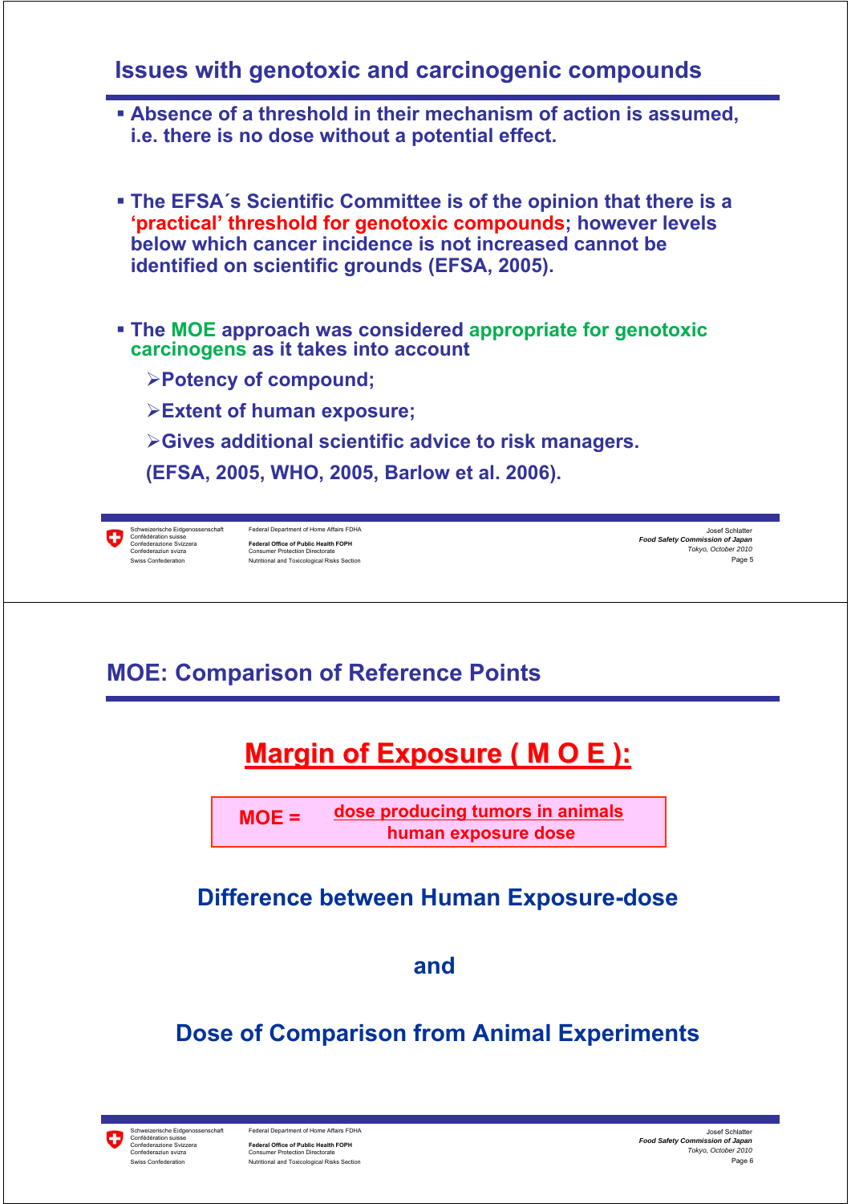#### **Issues with genotoxic and carcinogenic compounds**

- **Absence of a threshold in their mechanism of action is assumed, i.e. there is no dose without a potential effect.**
- **The EFSA´s Scientific Committee is of the opinion that there is a 'practical' threshold for genotoxic compounds; however levels below which cancer incidence is not increased cannot be identified on scientific grounds (EFSA, 2005).**
- **The MOE approach was considered appropriate for genotoxic carcinogens as it takes into account**
	- ¾**Potency of compound;**
	- ¾**Extent of human exposure;**
	- ¾**Gives additional scientific advice to risk managers.**
	- **(EFSA, 2005, WHO, 2005, Barlow et al. 2006).**



Schweizerische Eidgenossenschaft Federal Department of Home Affairs FDHA<br>Confédération suisse<br>Confederazione Svizzera **Federal Office of Public Health FOPH** Confederaziun svizra Consumer Protection Directorate Nutritional and Toxicological Risks Section

Page 5 Josef Schlatter *Food Safety Commission of Japan Tokyo, October 2010*

### **MOE: Comparison of Reference Points**

# **Margin of Exposure ( M O E ):**

**dose producing tumors in animals human exposure dose MOE =**

#### **Difference between Human Exposure-dose**

**and** 

#### **Dose of Comparison from Animal Experiments**

Confédération suisse Confederaziun svizra Consumer Protection Directorate

ο

Federal Department of Home Affairs FDHA Federal Office of Public Health FOPH<br>Consumer Protection Directorate Swiss Confederation **Nutritional and Toxicological Risks Section** 

Page 6 Josef Schlatter *Food Safety Commission of Japan Tokyo, October 2010*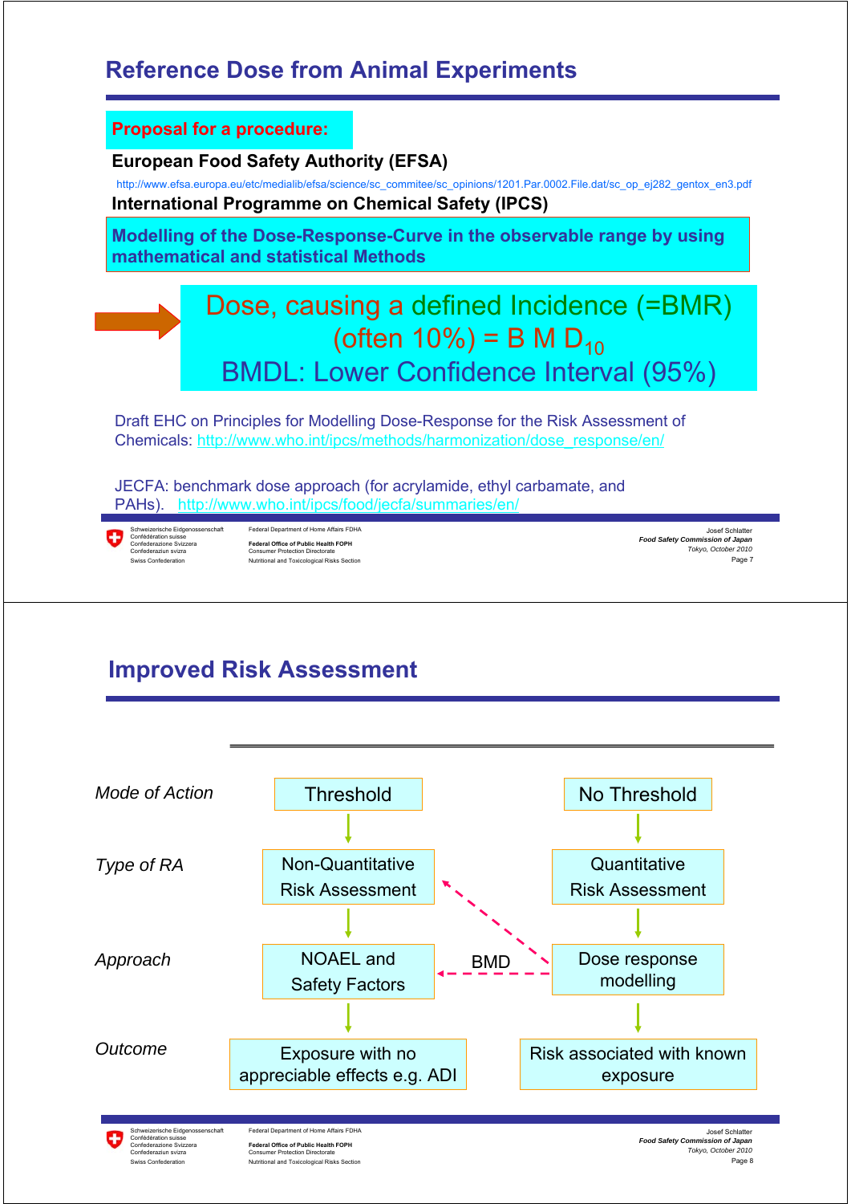### **Reference Dose from Animal Experiments**



# **Improved Risk Assessment**

Swiss Confederation Nutritional and Toxicological Risks Section



Page 8 *Tokyo, October 2010*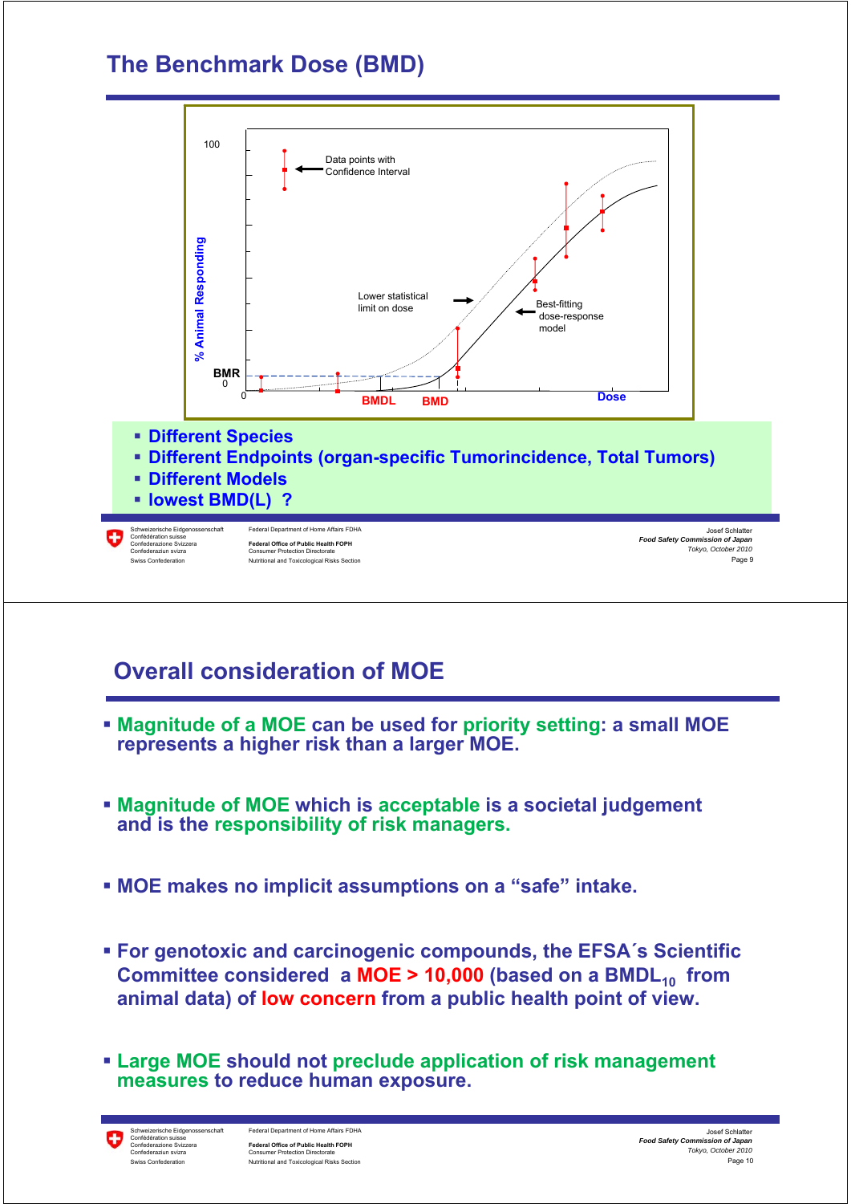### **The Benchmark Dose (BMD)**



# **Overall consideration of MOE**

- **Magnitude of a MOE can be used for priority setting: a small MOE represents a higher risk than a larger MOE.**
- **Magnitude of MOE which is acceptable is a societal judgement and is the responsibility of risk managers.**
- **MOE makes no implicit assumptions on a "safe" intake.**
- **For genotoxic and carcinogenic compounds, the EFSA´s Scientific Committee considered a MOE > 10,000 (based on a BMDL<sub>10</sub> from animal data) of low concern from a public health point of view.**
- **Large MOE should not preclude application of risk management measures to reduce human exposure.**

÷ Confédération suisse

Federal Department of Home Affairs FDHA Federal Office of Public Health FOPH<br>Consumer Protection Directorate Confederaziun svizra Consumer Protection Directorate Swiss Confederation **Nutritional and Toxicological Risks Section** 

Page 10 Josef Schlatter *Food Safety Commission of Japan Tokyo, October 2010*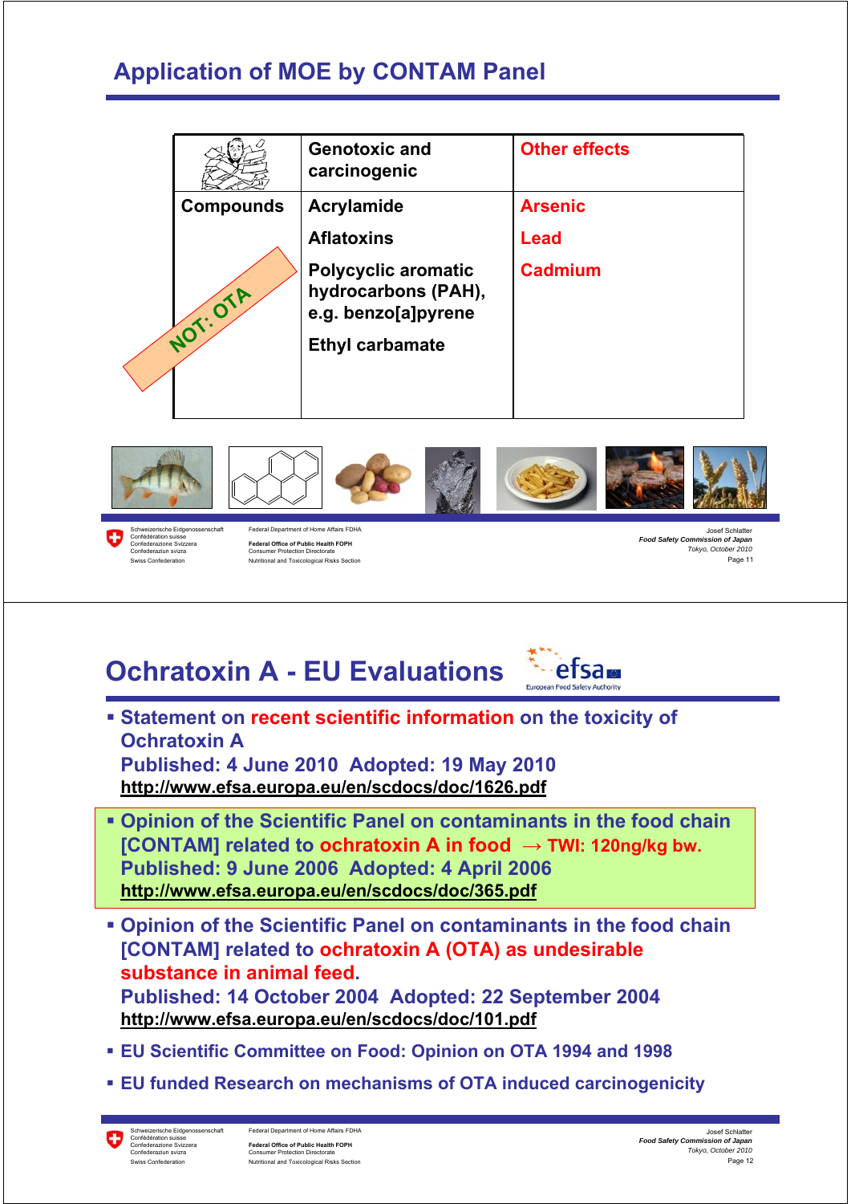# **Application of MOE by CONTAM Panel**

|                  | <b>Genotoxic and</b><br>carcinogenic                                     | <b>Other effects</b> |
|------------------|--------------------------------------------------------------------------|----------------------|
| <b>Compounds</b> | Acrylamide                                                               | <b>Arsenic</b>       |
|                  | <b>Aflatoxins</b>                                                        | Lead                 |
| NOT: OTA         | <b>Polycyclic aromatic</b><br>hydrocarbons (PAH),<br>e.g. benzo[a]pyrene | <b>Cadmium</b>       |
|                  | <b>Ethyl carbamate</b>                                                   |                      |
|                  |                                                                          |                      |



O Confédération suisse<br>Confédération suisse<br>Confederazione Svizzera

Confederazione Svizzera **Federal Office of Public Health FOPH** Confederaziun svizra Consumer Protection Directorate Swiss Confederation Nutritional and Toxicological Risks Section

Page 11 *Food Safety Commission of Japan Tokyo, October 2010*

# **Ochratoxin A - EU Evaluations**



 **Statement on recent scientific information on the toxicity of Ochratoxin A** 

**Published: 4 June 2010 Adopted: 19 May 2010 http://www.efsa.europa.eu/en/scdocs/doc/1626.pdf**

- **Opinion of the Scientific Panel on contaminants in the food chain [CONTAM] related to ochratoxin A in food → TWI: 120ng/kg bw. Published: 9 June 2006 Adopted: 4 April 2006 http://www.efsa.europa.eu/en/scdocs/doc/365.pdf**
- **Opinion of the Scientific Panel on contaminants in the food chain [CONTAM] related to ochratoxin A (OTA) as undesirable substance in animal feed. Published: 14 October 2004 Adopted: 22 September 2004 http://www.efsa.europa.eu/en/scdocs/doc/101.pdf**
- **EU Scientific Committee on Food: Opinion on OTA 1994 and 1998**
- **EU funded Research on mechanisms of OTA induced carcinogenicity**

Ο Confédération suisse

Federal Department of Home Affairs FDHA Federal Office of Public Health FOPH<br>Consumer Protection Directorate Confederaziun svizra Consumer Protection Directorate Swiss Confederation **Nutritional and Toxicological Risks Section**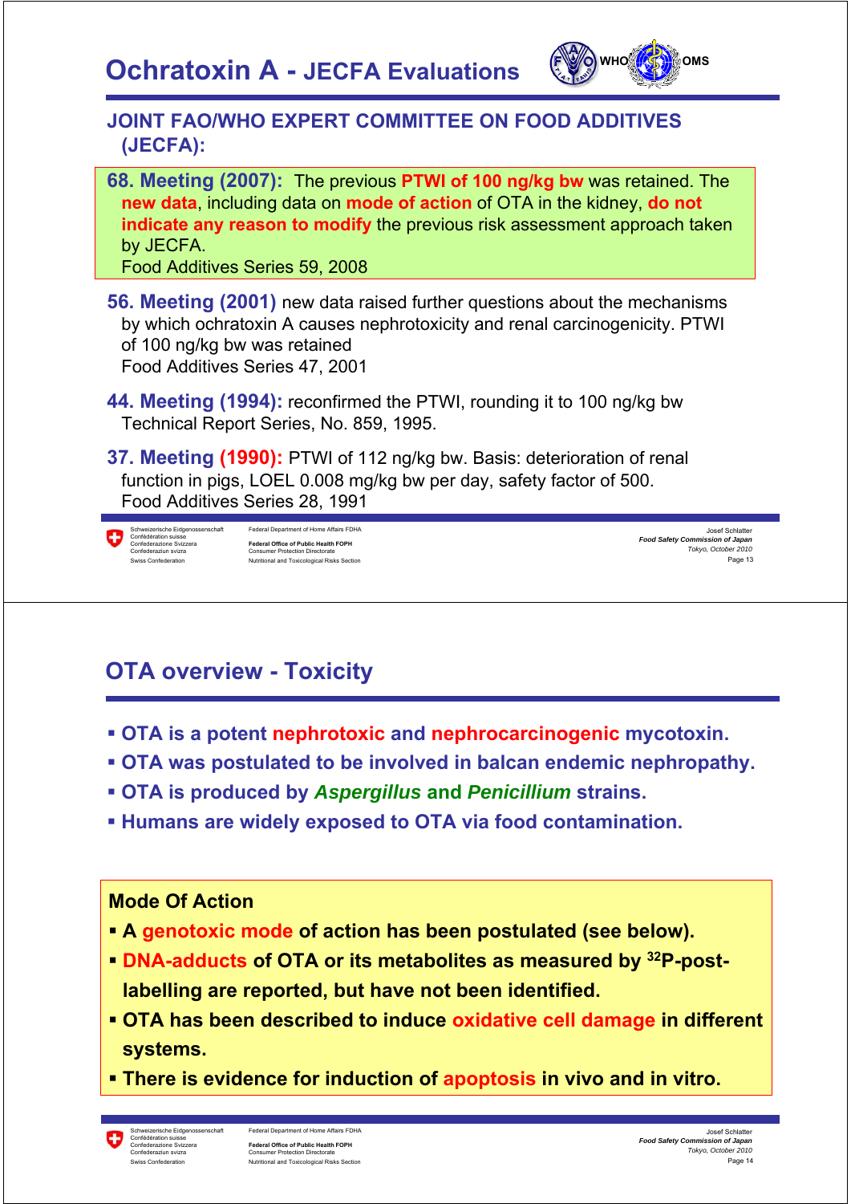

#### **JOINT FAO/WHO EXPERT COMMITTEE ON FOOD ADDITIVES (JECFA):**

**68. Meeting (2007):** The previous **PTWI of 100 ng/kg bw** was retained. The **new data**, including data on **mode of action** of OTA in the kidney, **do not indicate any reason to modify** the previous risk assessment approach taken by JECFA.

Food Additives Series 59, 2008

- **56. Meeting (2001)** new data raised further questions about the mechanisms by which ochratoxin A causes nephrotoxicity and renal carcinogenicity. PTWI of 100 ng/kg bw was retained Food Additives Series 47, 2001
- **44. Meeting (1994):** reconfirmed the PTWI, rounding it to 100 ng/kg bw Technical Report Series, No. 859, 1995.

**37. Meeting (1990):** PTWI of 112 ng/kg bw. Basis: deterioration of renal function in pigs, LOEL 0.008 mg/kg bw per day, safety factor of 500. Food Additives Series 28, 1991



| Schweizerische Eidgenossenschaft | Federal Department of Home Affairs FDHA     |
|----------------------------------|---------------------------------------------|
| Confédération suisse             |                                             |
| Confederazione Svizzera          | Federal Office of Public Health FOPH        |
| Confederaziun svizra             | <b>Consumer Protection Directorate</b>      |
| Swiss Confederation              | Nutritional and Toxicological Risks Section |



# **OTA overview - Toxicity**

- **OTA is a potent nephrotoxic and nephrocarcinogenic mycotoxin.**
- **OTA was postulated to be involved in balcan endemic nephropathy.**
- **OTA is produced by** *Aspergillus* **and** *Penicillium* **strains.**
- **Humans are widely exposed to OTA via food contamination.**

#### **Mode Of Action**

- **A genotoxic mode of action has been postulated (see below).**
- **DNA-adducts of OTA or its metabolites as measured by 32P-postlabelling are reported, but have not been identified.**
- **OTA has been described to induce oxidative cell damage in different systems.**
- **There is evidence for induction of apoptosis in vivo and in vitro.**

Confédération suisse

Federal Department of Home Affairs FDHA **Federal Office of Public Health FOPH**<br>Consumer Protection Directorate Confederaziun svizra Consumer Protection Directorate Swiss Confederation **Nutritional and Toxicological Risks Section** 

Page 14 Josef Schlatter *Food Safety Commission of Japan Tokyo, October 2010*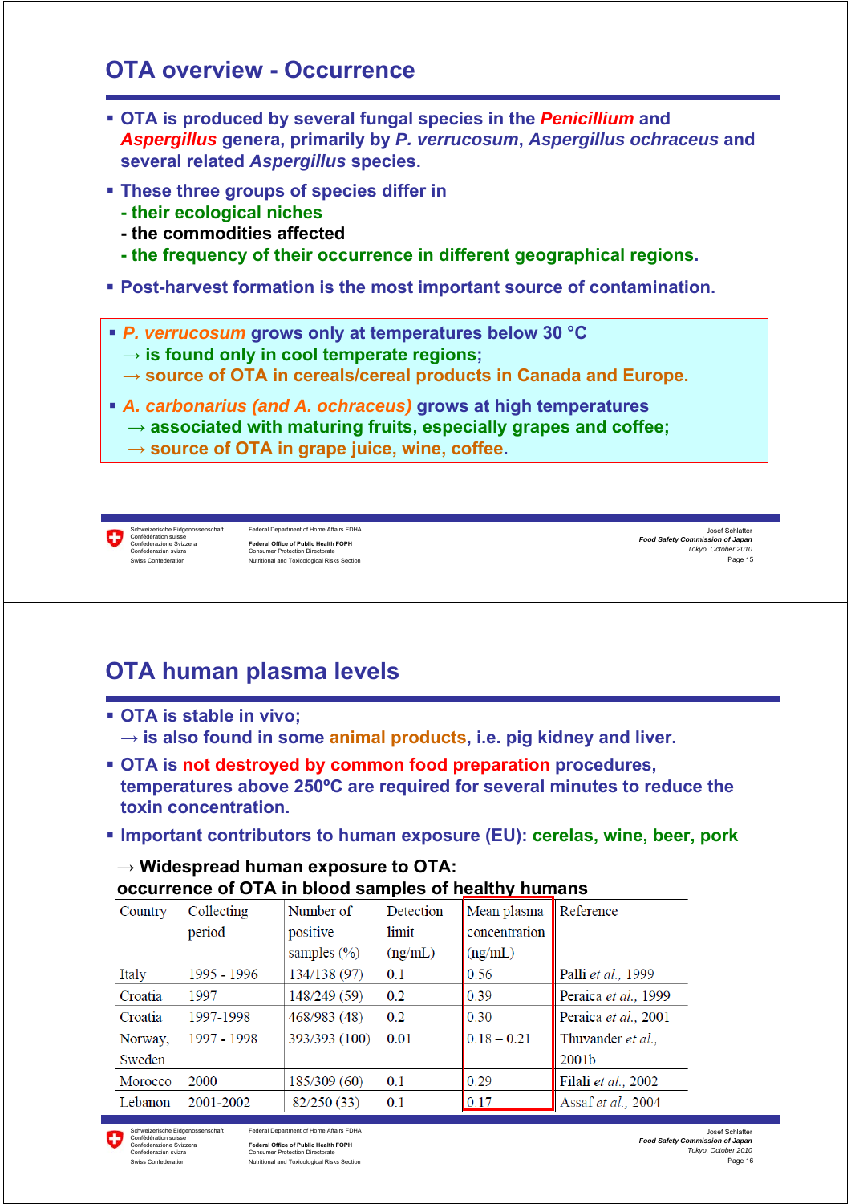### **OTA overview - Occurrence**

- **OTA is produced by several fungal species in the** *Penicillium* **and**  *Aspergillus* **genera, primarily by** *P. verrucosum***,** *Aspergillus ochraceus* **and several related** *Aspergillus* **species.**
- **These three groups of species differ in**
	- **their ecological niches**
	- **the commodities affected**
	- **the frequency of their occurrence in different geographical regions.**
- **Post-harvest formation is the most important source of contamination.**
- *P. verrucosum* **grows only at temperatures below 30 °C** 
	- **→ is found only in cool temperate regions;**
	- **→ source of OTA in cereals/cereal products in Canada and Europe.**
- *A. carbonarius (and A. ochraceus)* **grows at high temperatures → associated with maturing fruits, especially grapes and coffee; → source of OTA in grape juice, wine, coffee.** 
	-

Schweizerische Eidgenossenschaft Federal Department of Home Affairs FDHA<br>Confédération suisse Confederazione Svizzera **Federal Office of Public Health FOPH** Confederaziun svizra Consumer Protection Directorate Swiss Confederation Nutritional and Toxicological Risks Section

Page 15 Josef Schlatter *Food Safety Commission of Japan Tokyo, October 2010*

# **OTA human plasma levels**

- **OTA is stable in vivo;**  $\rightarrow$  is also found in some animal products, i.e. pig kidney and liver.
- **OTA is not destroyed by common food preparation procedures, temperatures above 250ºC are required for several minutes to reduce the toxin concentration.**
- **Important contributors to human exposure (EU): cerelas, wine, beer, pork**

#### **→ Widespread human exposure to OTA: occurrence of OTA in blood samples of healthy humans**

| Country | Collecting  | Number of       | <b>Detection</b> | Mean plasma   | Reference            |
|---------|-------------|-----------------|------------------|---------------|----------------------|
|         | period      | positive        | limit            | concentration |                      |
|         |             | samples $(\% )$ | (ng/mL)          | (ng/mL)       |                      |
| Italy   | 1995 - 1996 | 134/138(97)     | 0.1              | 0.56          | Palli et al., 1999   |
| Croatia | 1997        | 148/249 (59)    | 0.2              | 0.39          | Peraica et al., 1999 |
| Croatia | 1997-1998   | 468/983 (48)    | 0.2              | 0.30          | Peraica et al., 2001 |
| Norway, | 1997 - 1998 | 393/393 (100)   | 0.01             | $0.18 - 0.21$ | Thuvander et al.,    |
| Sweden  |             |                 |                  |               | 2001b                |
| Morocco | 2000        | 185/309 (60)    | 0.1              | 0.29          | Filali et al., 2002  |
| Lebanon | 2001-2002   | 82/250 (33)     | 0.1              | 0.17          | Assaf et al., 2004   |



Ω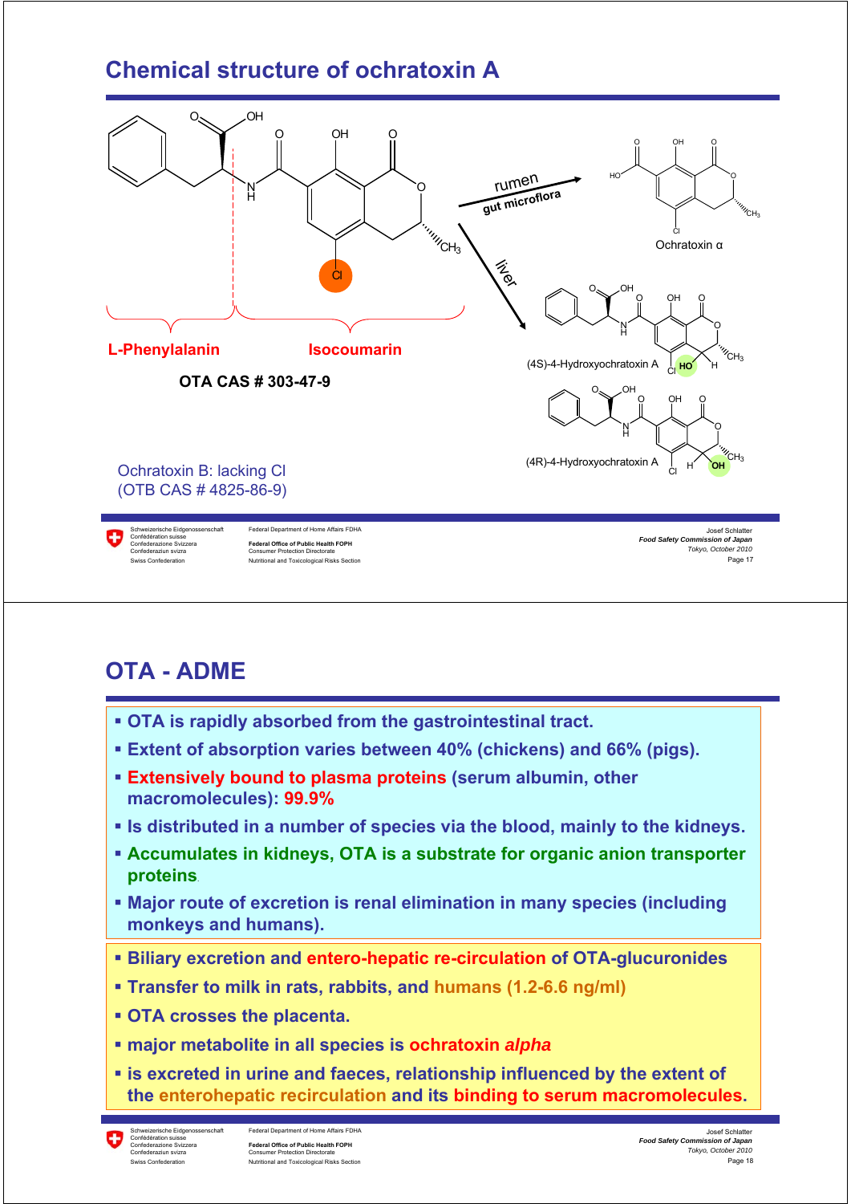# **Chemical structure of ochratoxin A**



### **OTA - ADME**

- **OTA is rapidly absorbed from the gastrointestinal tract.**
- **Extent of absorption varies between 40% (chickens) and 66% (pigs).**
- **Extensively bound to plasma proteins (serum albumin, other macromolecules): 99.9%**
- **Is distributed in a number of species via the blood, mainly to the kidneys.**
- **Accumulates in kidneys, OTA is a substrate for organic anion transporter proteins**.
- **Major route of excretion is renal elimination in many species (including monkeys and humans).**
- **Biliary excretion and entero-hepatic re-circulation of OTA-glucuronides**
- **Transfer to milk in rats, rabbits, and humans (1.2-6.6 ng/ml)**
- **OTA crosses the placenta.**
- **major metabolite in all species is ochratoxin** *alpha*
- **is excreted in urine and faeces, relationship influenced by the extent of the enterohepatic recirculation and its binding to serum macromolecules.**

۰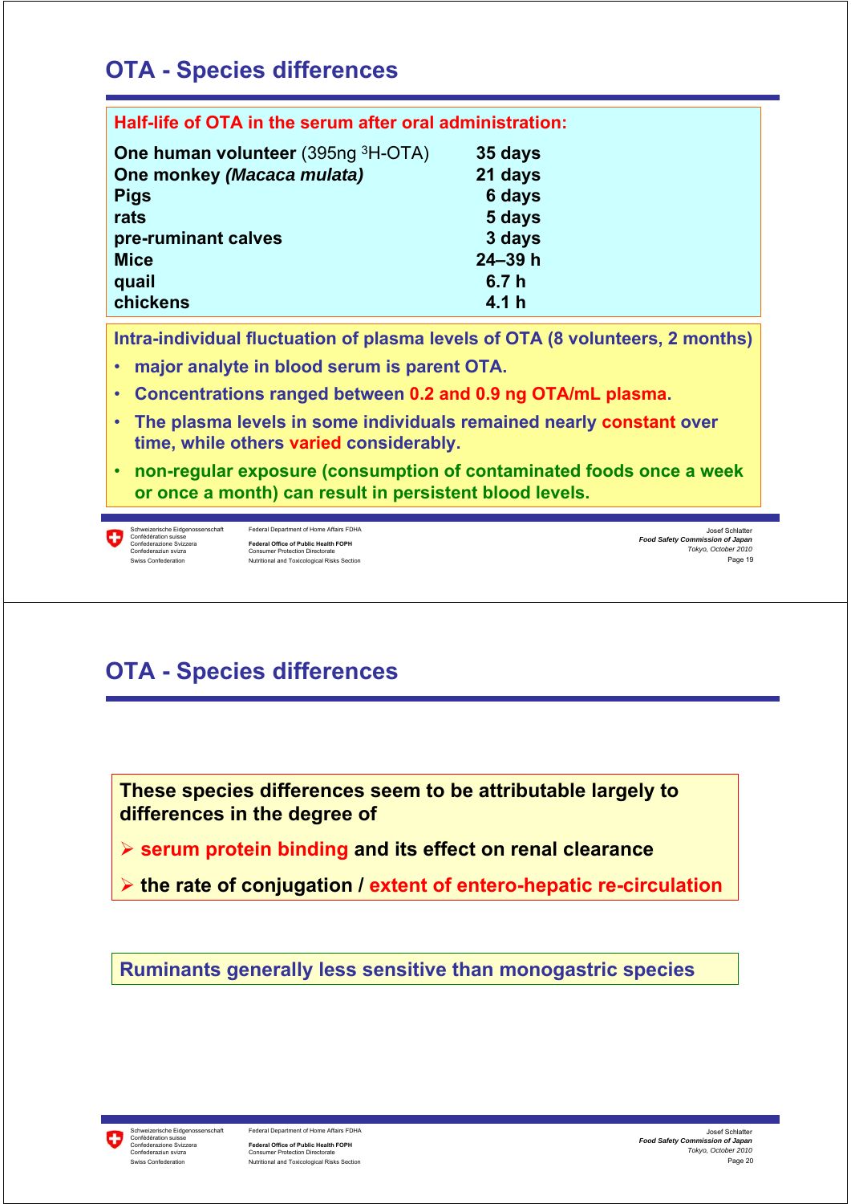# **OTA - Species differences**

| Half-life of OTA in the serum after oral administration: |                  |  |  |  |  |
|----------------------------------------------------------|------------------|--|--|--|--|
| <b>One human volunteer</b> (395ng <sup>3</sup> H-OTA)    | 35 days          |  |  |  |  |
| One monkey (Macaca mulata)                               | 21 days          |  |  |  |  |
| <b>Pigs</b>                                              | 6 days           |  |  |  |  |
| rats                                                     | 5 days           |  |  |  |  |
| pre-ruminant calves                                      | 3 days           |  |  |  |  |
| <b>Mice</b>                                              | $24 - 39h$       |  |  |  |  |
| quail                                                    | 6.7h             |  |  |  |  |
| chickens                                                 | 4.1 <sub>h</sub> |  |  |  |  |

**Intra-individual fluctuation of plasma levels of OTA (8 volunteers, 2 months)**

- **major analyte in blood serum is parent OTA.**
- **Concentrations ranged between 0.2 and 0.9 ng OTA/mL plasma.**
- **The plasma levels in some individuals remained nearly constant over time, while others varied considerably.**
- **non-regular exposure (consumption of contaminated foods once a week or once a month) can result in persistent blood levels.**

Ο



# **OTA - Species differences**

**These species differences seem to be attributable largely to differences in the degree of** 

- ¾ **serum protein binding and its effect on renal clearance**
- ¾ **the rate of conjugation / extent of entero-hepatic re-circulation**

**Ruminants generally less sensitive than monogastric species**

Schweizerische Eidgenossenschaft Federal Department of Home Affairs FDHA<br>Confédération suisse **Federal Office of Public Health FOPH**<br>Consumer Protection Directorate Confederaziun svizra Consumer Protection Directorate Swiss Confederation **Nutritional and Toxicological Risks Section**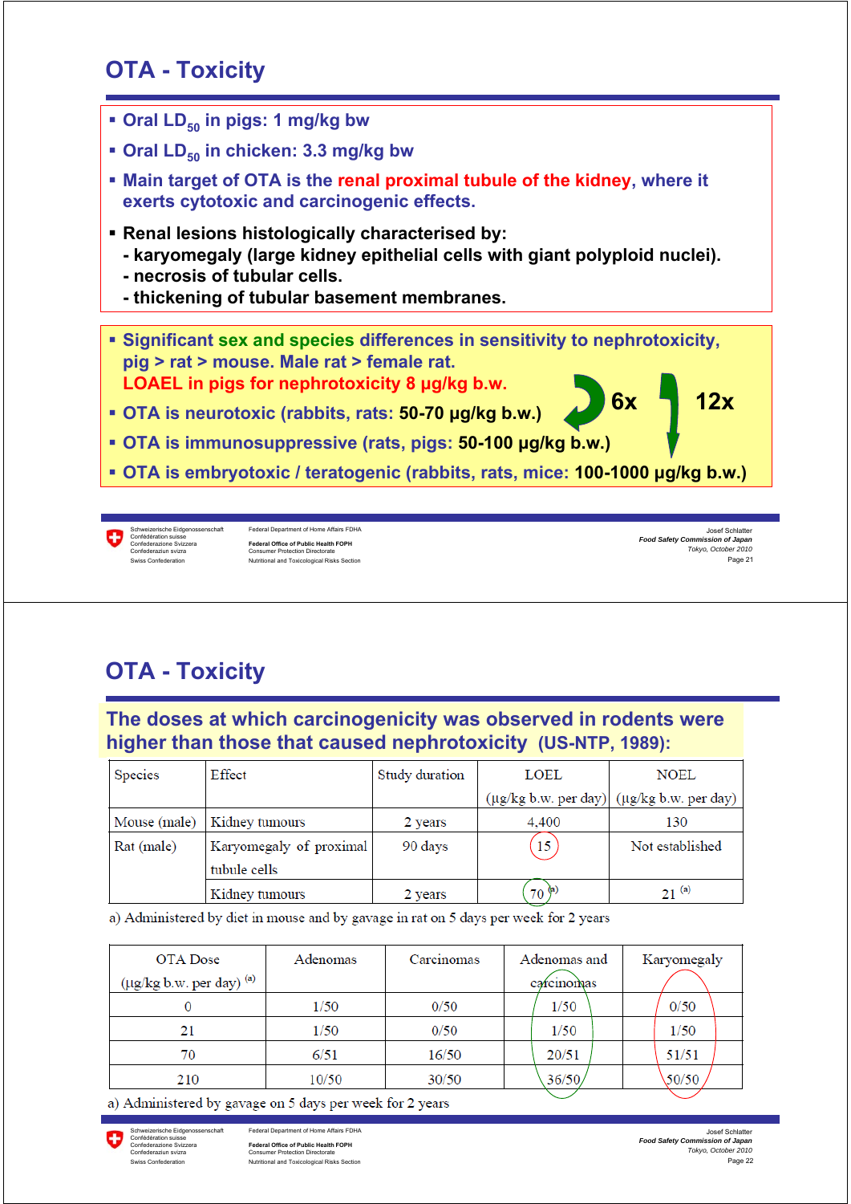## **OTA - Toxicity**

- **Oral LD<sub>50</sub> in pigs: 1 mg/kg bw**
- **Oral LD<sub>50</sub>** in chicken: 3.3 mg/kg bw
- **Main target of OTA is the renal proximal tubule of the kidney, where it exerts cytotoxic and carcinogenic effects.**
- **Renal lesions histologically characterised by:**
	- **karyomegaly (large kidney epithelial cells with giant polyploid nuclei).**
	- **necrosis of tubular cells.**
	- **thickening of tubular basement membranes.**
- **Significant sex and species differences in sensitivity to nephrotoxicity, pig > rat > mouse. Male rat > female rat. LOAEL in pigs for nephrotoxicity 8 μg/kg b.w. 6x 12x**
- **OTA is neurotoxic (rabbits, rats: 50-70 μg/kg b.w.)**
- **OTA is immunosuppressive (rats, pigs: 50-100 μg/kg b.w.)**
- **OTA is embryotoxic / teratogenic (rabbits, rats, mice: 100-1000 μg/kg b.w.)**

G

Schweizerische Eidgenossenschaft Federal Department of Home Affairs FDHA<br>Confédération suisse Confederazione Svizzera **Federal Office of Public Health FOPH** Confederaziun svizra Consumer Protection Directorate Nutritional and Toxicological Risks Section

Page 21 Josef Schlatter *Food Safety Commission of Japan Tokyo, October 2010*

# **OTA - Toxicity**

**The doses at which carcinogenicity was observed in rodents were higher than those that caused nephrotoxicity (US-NTP, 1989):**

| <b>Species</b> | Effect                                  | Study duration | LOEL       | <b>NOEL</b>                                                       |
|----------------|-----------------------------------------|----------------|------------|-------------------------------------------------------------------|
|                |                                         |                |            | $(\mu g/kg b.w. \text{per day})$ $(\mu g/kg b.w. \text{per day})$ |
| Mouse (male)   | Kidney tumours                          | 2 years        | 4.400      | 130                                                               |
| Rat (male)     | Karyomegaly of proximal<br>tubule cells | 90 days        | 15         | Not established                                                   |
|                | Kidney tumours                          | 2 years        | $70^{(a)}$ | $21^{(a)}$                                                        |

a) Administered by diet in mouse and by gavage in rat on 5 days per week for 2 years

| OTA Dose<br>$(\mu g/kg b.w.$ per day) $^{(a)}$ | Adenomas | Carcinomas | Adenomas and<br>carcinomas | Karyomegaly |  |
|------------------------------------------------|----------|------------|----------------------------|-------------|--|
|                                                | 1/50     | 0/50       | 1/50                       | 0/50        |  |
| 21                                             | 1/50     | 0/50       | 1/50                       | 1/50        |  |
| 70                                             | 6/51     | 16/50      | 20/51                      | 51/51       |  |
| 210                                            | 10/50    | 30/50      | 36/50                      | 50/50       |  |

a) Administered by gavage on 5 days per week for 2 years

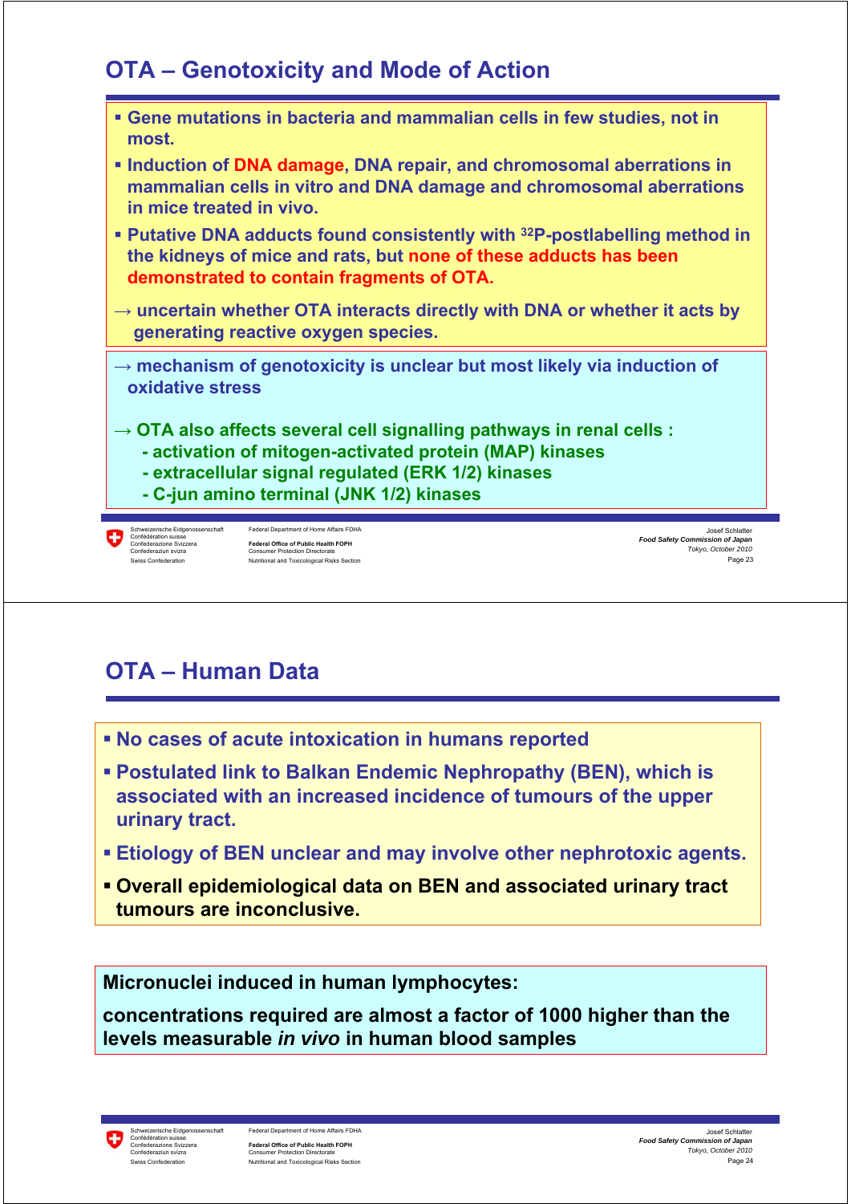## **OTA – Genotoxicity and Mode of Action**



# **OTA – Human Data**

- **No cases of acute intoxication in humans reported**
- **Postulated link to Balkan Endemic Nephropathy (BEN), which is associated with an increased incidence of tumours of the upper urinary tract.**
- **Etiology of BEN unclear and may involve other nephrotoxic agents.**
- **Overall epidemiological data on BEN and associated urinary tract tumours are inconclusive.**

**Micronuclei induced in human lymphocytes:**

**concentrations required are almost a factor of 1000 higher than the levels measurable** *in vivo* **in human blood samples**

Federal Department of Home Affairs FDHA **Federal Office of Public Health FOPH**<br>Consumer Protection Directorate Confederaziun svizra Consumer Protection Directorate Swiss Confederation **Nutritional and Toxicological Risks Section**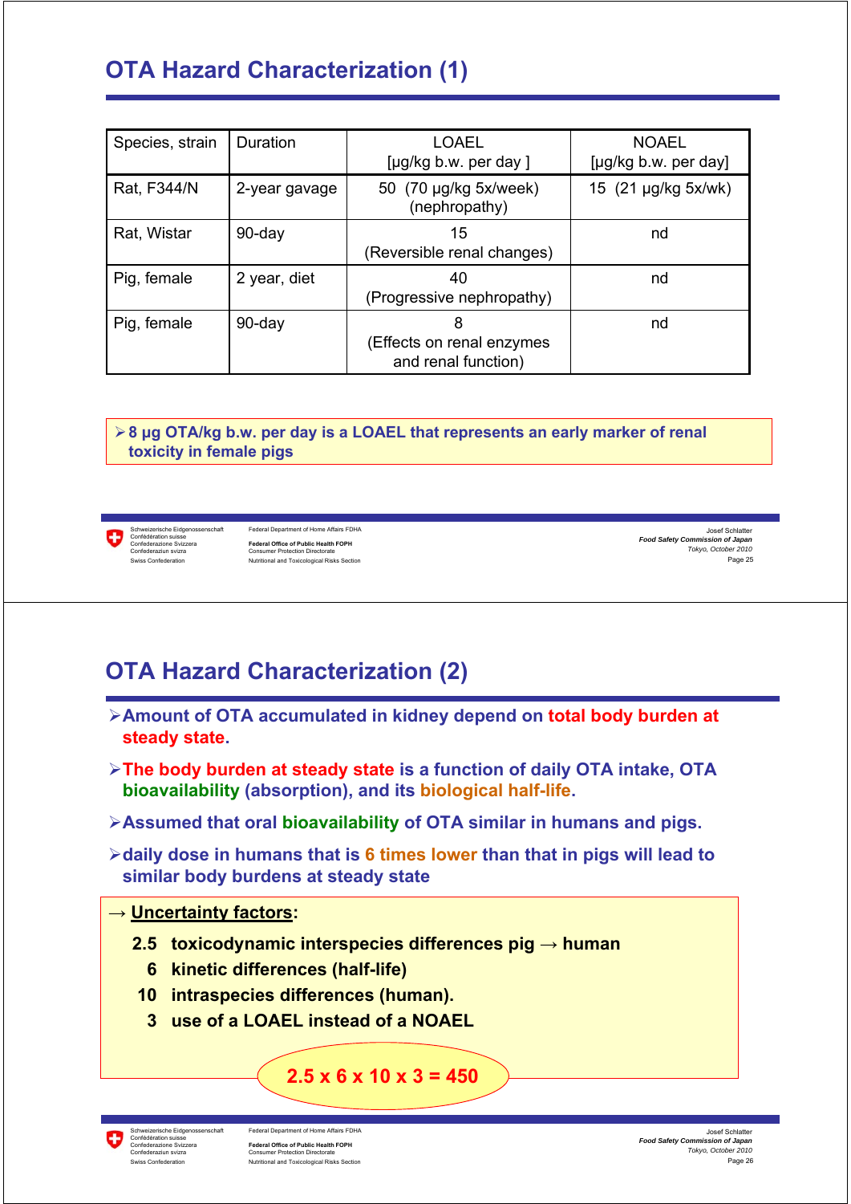# **OTA Hazard Characterization (1)**

| Species, strain | Duration      | <b>LOAEL</b><br>[µg/kg b.w. per day]                  | <b>NOAEL</b><br>[µg/kg b.w. per day] |
|-----------------|---------------|-------------------------------------------------------|--------------------------------------|
| Rat, F344/N     | 2-year gavage | 50 (70 µg/kg 5x/week)<br>(nephropathy)                | 15 (21 µg/kg 5x/wk)                  |
| Rat, Wistar     | 90-day        | 15<br>(Reversible renal changes)                      | nd                                   |
| Pig, female     | 2 year, diet  | 40<br>(Progressive nephropathy)                       | nd                                   |
| Pig, female     | 90-day        | 8<br>(Effects on renal enzymes<br>and renal function) | nd                                   |

¾**8 μg OTA/kg b.w. per day is a LOAEL that represents an early marker of renal toxicity in female pigs**

O

Schweizerische Eidgenossenschaft Federal Department of Home Affairs FDHA<br>Confédération suisse<br>Confederazione Svizzera **Federal Office of Public Health FOPH**<br>Confederaziun svizra Consumer Protection Directorate Swiss Confederation **Nutritional and Toxicological Risks Section** 

Page 25 Josef Schlatter *Food Safety Commission of Japan Tokyo, October 2010*

### **OTA Hazard Characterization (2)**

- ¾**Amount of OTA accumulated in kidney depend on total body burden at steady state.**
- ¾**The body burden at steady state is a function of daily OTA intake, OTA bioavailability (absorption), and its biological half-life.**
- ¾**Assumed that oral bioavailability of OTA similar in humans and pigs.**
- ¾**daily dose in humans that is 6 times lower than that in pigs will lead to similar body burdens at steady state**

#### **→ Uncertainty factors:**

- **2.5 toxicodynamic interspecies differences pig → human** 
	- **6 kinetic differences (half-life)**
- **10 intraspecies differences (human).**
- **3 use of a LOAEL instead of a NOAEL**

#### **2.5 x 6 x 10 x 3 = 450**

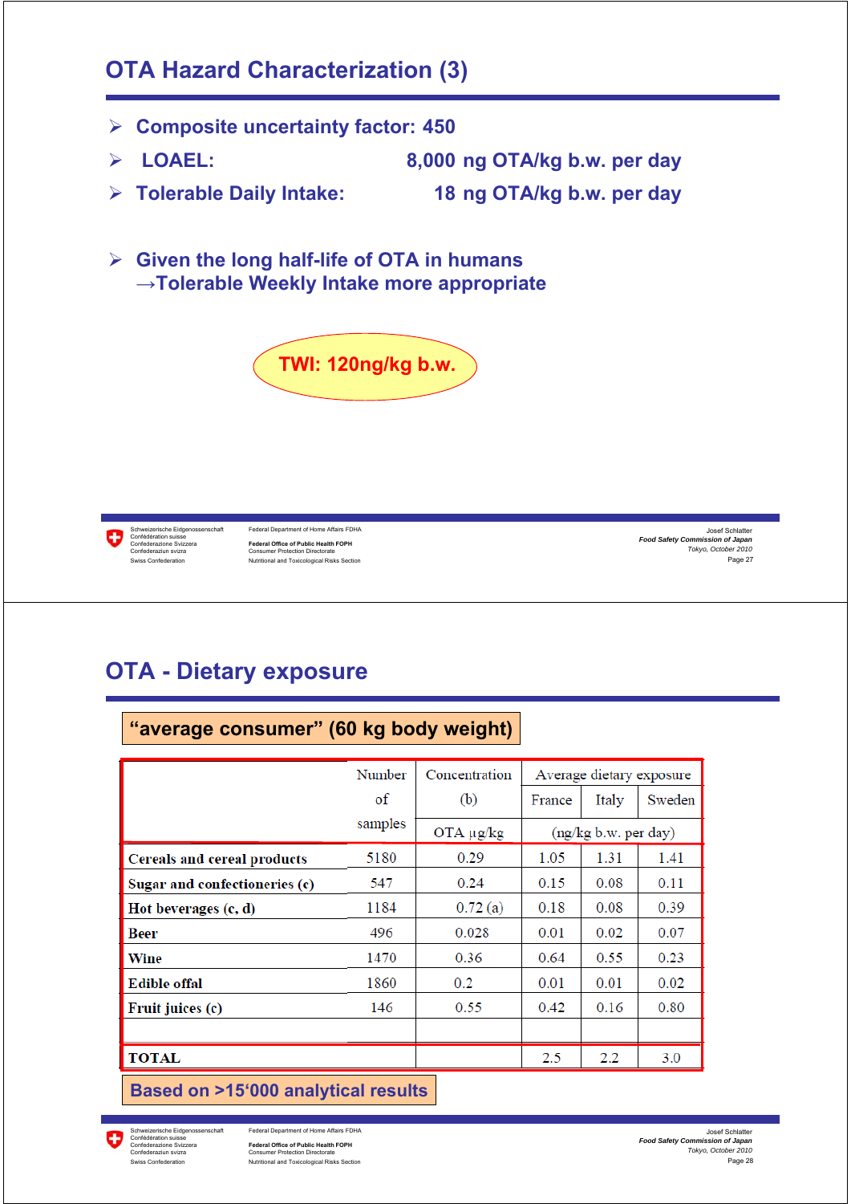### **OTA Hazard Characterization (3)**

- ¾ **Composite uncertainty factor: 450**
- ¾ **LOAEL: 8,000 ng OTA/kg b.w. per day**
- ¾ **Tolerable Daily Intake: 18 ng OTA/kg b.w. per day**
- ¾ **Given the long half-life of OTA in humans →Tolerable Weekly Intake more appropriate**





Schweizerische Eidgenossenschaft Federal Department of Home Affairs FDHA<br>Confédération suisse Confederazione Svizzera **Federal Office of Public Health FOPH** Confederaziun svizra Consumer Protection Directorate Swiss Confederation **Nutritional and Toxicological Risks Section** 

**"average consumer" (60 kg body weight)**

Page 27 Josef Schlatter *Food Safety Commission of Japan Tokyo, October 2010*

### **OTA - Dietary exposure**

|                               | Number  | Concentration | Average dietary exposure |                      |        |
|-------------------------------|---------|---------------|--------------------------|----------------------|--------|
|                               | of      | (b)           | France                   | Italy                | Sweden |
|                               | samples | OTA µg/kg     |                          | (ng/kg b.w. per day) |        |
| Cereals and cereal products   | 5180    | 0.29          | 1.05                     | 1.31                 | 1.41   |
| Sugar and confectioneries (c) | 547     | 0.24          | 0.15                     | 0.08                 | 0.11   |
| Hot beverages (c, d)          | 1184    | 0.72(a)       | 0.18                     | 0.08                 | 0.39   |
| Beer                          | 496     | 0.028         | 0.01                     | 0.02                 | 0.07   |
| Wine                          | 1470    | 0.36          | 0.64                     | 0.55                 | 0.23   |
| <b>Edible offal</b>           | 1860    | 0.2           | 0.01                     | 0.01                 | 0.02   |
| Fruit juices (c)              | 146     | 0.55          | 0.42                     | 0.16                 | 0.80   |
|                               |         |               |                          |                      |        |
| <b>TOTAL</b>                  |         |               | 2.5                      | $2.2\,$              | 3.0    |
|                               |         |               |                          |                      |        |

**Based on >15'000 analytical results**

O Confédération suisse

Federal Department of Home Affairs FDHA Federal Office of Public Health FOPH<br>Consumer Protection Directorate Confederaziun svizra Consumer Protection Directorate Swiss Confederation Nutritional and Toxicological Risks Section

Page 28 Josef Schlatter *Food Safety Commission of Japan Tokyo, October 2010*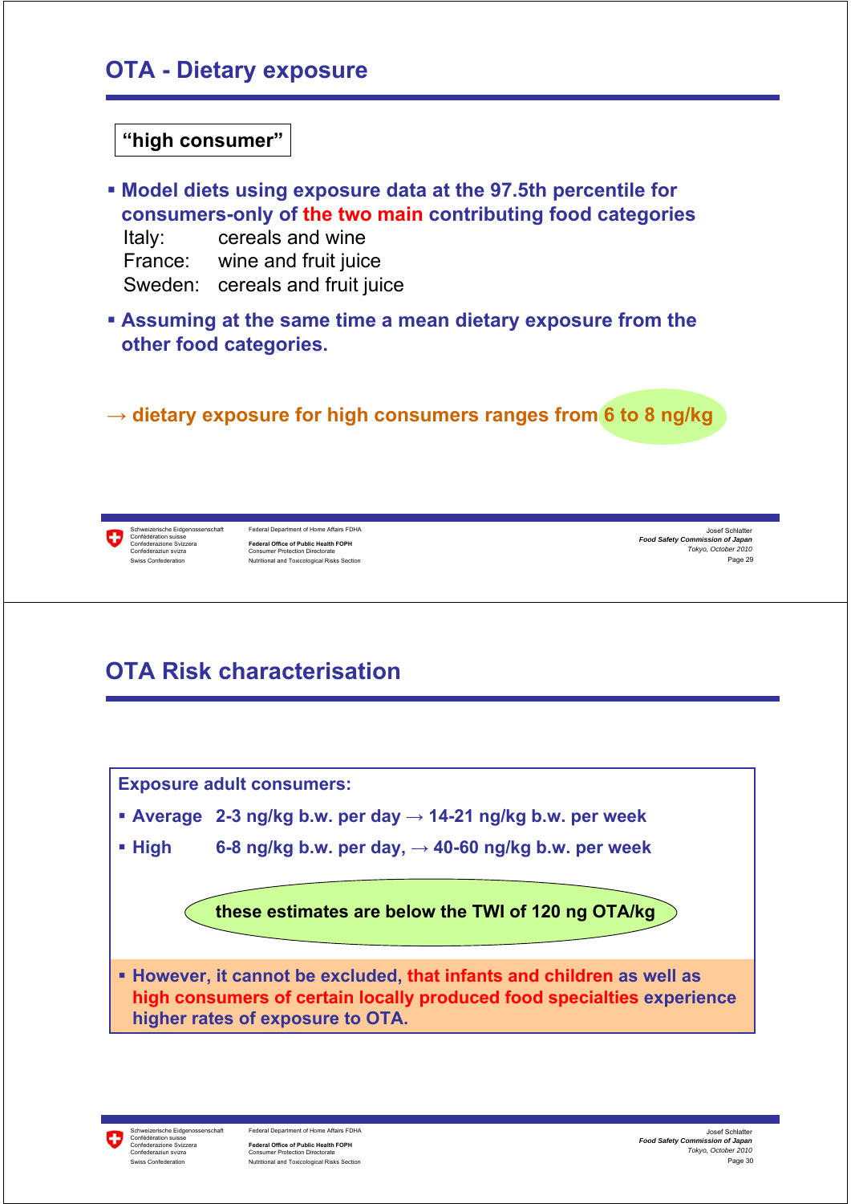### **OTA - Dietary exposure**

#### **"high consumer"**

- **Model diets using exposure data at the 97.5th percentile for consumers-only of the two main contributing food categories**  Italy: cereals and wine France: wine and fruit juice Sweden: cereals and fruit juice
- **Assuming at the same time a mean dietary exposure from the other food categories.**

**→ dietary exposure for high consumers ranges from 6 to 8 ng/kg**

Φ

Schweizerische Eidgenossenschaft Federal Department of Home Affairs FDHA<br>Confédération suisse **Federal Office of Public Health FOPH**<br>Consumer Protection Directorate Confederaziun svizra Consumer Protection Directorate Swiss Confederation **Nutritional and Toxicological Risks Section** 

Page 29 Josef Schlatter *Food Safety Commission of Japan Tokyo, October 2010*

# **OTA Risk characterisation**

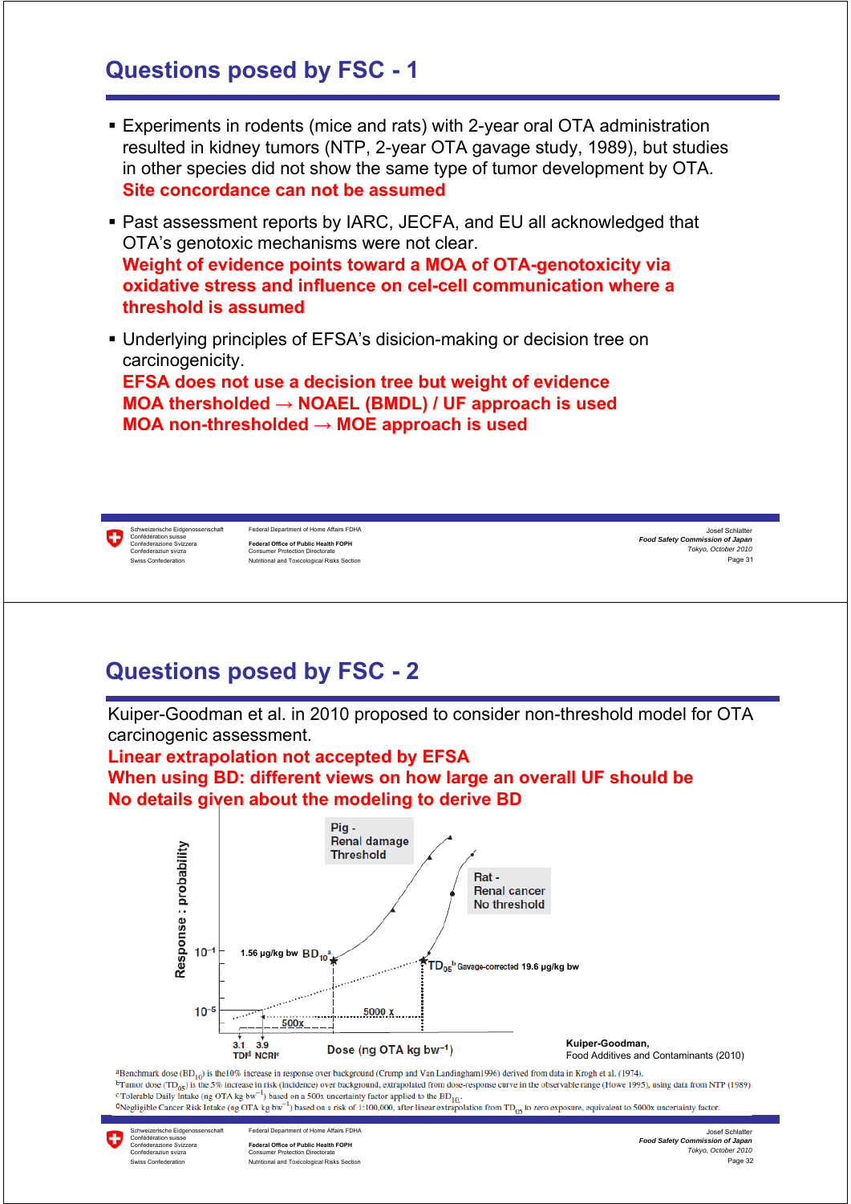#### **Questions posed by FSC - 1**

- Experiments in rodents (mice and rats) with 2-year oral OTA administration resulted in kidney tumors (NTP, 2-year OTA gavage study, 1989), but studies in other species did not show the same type of tumor development by OTA. **Site concordance can not be assumed**
- Past assessment reports by IARC, JECFA, and EU all acknowledged that OTA's genotoxic mechanisms were not clear. **Weight of evidence points toward a MOA of OTA-genotoxicity via oxidative stress and influence on cel-cell communication where a threshold is assumed**
- Underlying principles of EFSA's disicion-making or decision tree on carcinogenicity. **EFSA does not use a decision tree but weight of evidence MOA thersholded → NOAEL (BMDL) / UF approach is used MOA non-thresholded → MOE approach is used**

anwerzensene Enggenos<br>onfédération suisse<br>onfederazione Svizzera

weizerische Eidgenossenschaft Federal Department of Home Affairs FDHA Confederazione Svizzera **Federal Office of Public Health FOPH** Consumer Protection Directorate ss Confederation **Nutritional and Toxicological Risks Section** 

Page 31 Josef Schlatter *Food Safety Commission of Japan Tokyo, October 2010*

### **Questions posed by FSC - 2**

Kuiper-Goodman et al. in 2010 proposed to consider non-threshold model for OTA carcinogenic assessment.

#### **Linear extrapolation not accepted by EFSA When using BD: different views on how large an overall UF should be**

**No details given about the modeling to derive BD**



<sup>a</sup>Benchmark dose (BD<sub>10</sub>) is the 10% increase in response over background (Crump and Van Landingham1996) derived from data in Krogh et al. (1974). <sup>b</sup>Tumor dose (TD<sub>05</sub>) is the 5% increase in risk (incidence) over background, extrapolated from dose-response curve in the observable range (Howe 1995), using data from NTP (1989).<br><sup>c</sup>Tolerable Daily Intake (ng OTA kg bw

<sup>d</sup>Negligible Cancer Risk Intake (ng OTA kg bw<sup>-1</sup>) based on a risk of 1:100,000, after linear extrapolation from TD<sub>05</sub> to zero exposure, equivalent to 5000x uncertainty factor.

Schweizerische Eidgenoss<br>Confédération suisse<br>Confederazione Svizzera

Federal Department of Home Affairs FDHA Confederazione Svizzera **Federal Office of Public Health FOPH** Confederaziun svizra Consumer Protection Directorate Swiss Confederation **Nutritional and Toxicological Risks Section** 

Page 32 Josef Schlatter *Food Safety Commission of Japan Tokyo, October 2010*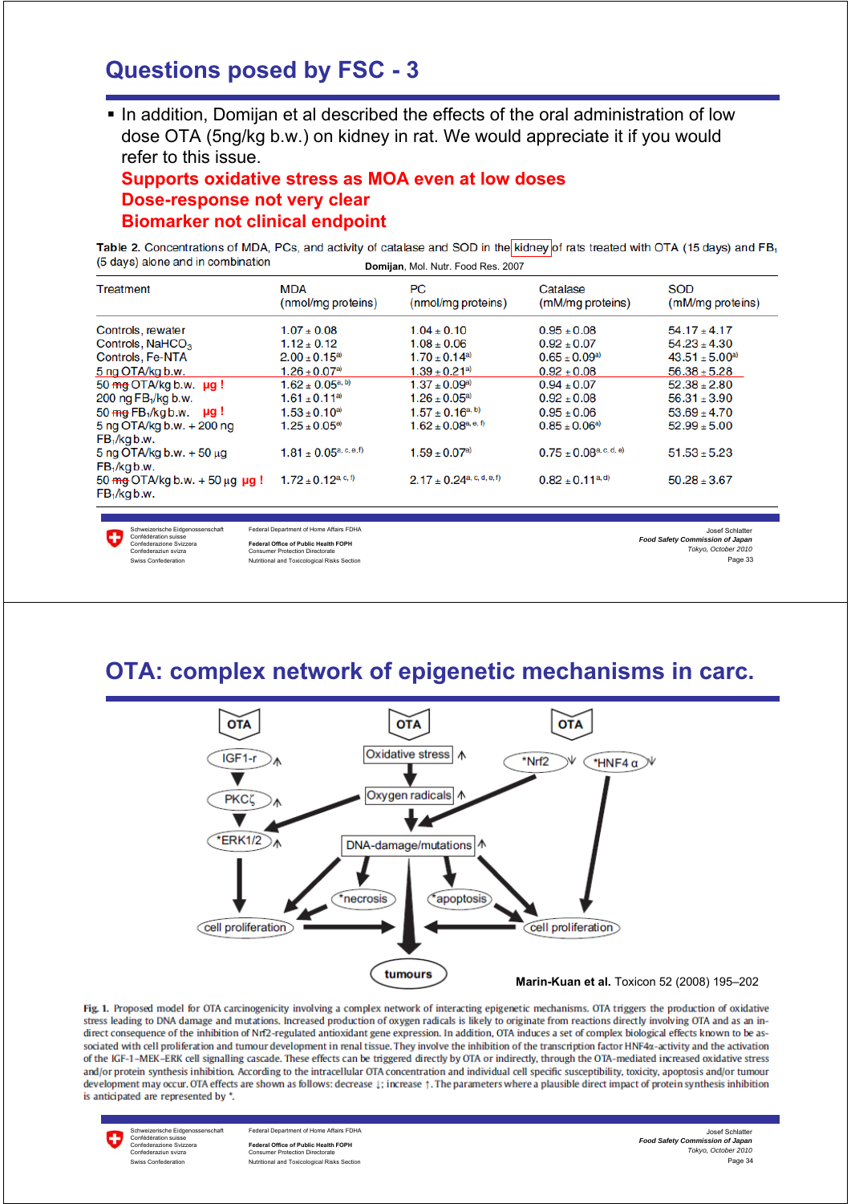#### **Questions posed by FSC - 3**

 In addition, Domijan et al described the effects of the oral administration of low dose OTA (5ng/kg b.w.) on kidney in rat. We would appreciate it if you would refer to this issue.

#### **Supports oxidative stress as MOA even at low doses Dose-response not very clear Biomarker not clinical endpoint**

Table 2. Concentrations of MDA, PCs, and activity of catalase and SOD in the kidney of rats treated with OTA (15 days) and FB<sub>1</sub> (5 days) alone and in combination **Domijan**, Mol. Nutr. Food Res. 2007

| Treatment                                                                    | <b>MDA</b><br>(nmol/mg proteins)                         | <b>PC</b><br>(nmol/mg proteins)              | Catalase<br>(mM/mg proteins)     | <b>SOD</b><br>(mM/mg proteins) |
|------------------------------------------------------------------------------|----------------------------------------------------------|----------------------------------------------|----------------------------------|--------------------------------|
| Controls, rewater                                                            | $1.07 \pm 0.08$                                          | $1.04 \pm 0.10$                              | $0.95 \pm 0.08$                  | $54.17 + 4.17$                 |
| Controls, NaHCO <sub>3</sub>                                                 | $1.12 + 0.12$                                            | $1.08 \pm 0.06$                              | $0.92 + 0.07$                    | $54.23 \pm 4.30$               |
| Controls, Fe-NTA                                                             | $2.00 \pm 0.15^{a}$                                      | $1.70 \pm 0.14$ <sup>a)</sup>                | $0.65 \pm 0.09^{\text{a}}$       | $43.51 \pm 5.00$ <sup>a)</sup> |
| 5 ng OTA/kg b.w.                                                             | $1.26 \pm 0.07$ <sup>a)</sup>                            | $1.39 \pm 0.21$ <sup>a)</sup>                | $0.92 \pm 0.08$                  | $56.38 \pm 5.28$               |
| 50 $mg$ OTA/kg b.w. $\mu$ q!                                                 | $1.62 \pm 0.05^{\text{a},\text{b}}$                      | $1.37 \pm 0.09$ <sup>a)</sup>                | $0.94 \pm 0.07$                  | $52.38 \pm 2.80$               |
| 200 ng FB <sub>1</sub> /kg b.w.                                              | $1.61 \pm 0.11^{a}$                                      | $1.26 \pm 0.05^{\text{a}}$                   | $0.92 \pm 0.08$                  | $56.31 \pm 3.90$               |
| $50 \text{ mg}$ FB <sub>1</sub> /kg b.w. $\mu$ g!                            | $1.53 \pm 0.10^{a}$                                      | $1.57 \pm 0.16^{a, b}$                       | $0.95 \pm 0.06$                  | $53.69 \pm 4.70$               |
| 5 ng OTA/kg b.w. + 200 ng<br>$FB1/kg$ b.w.                                   | $1.25 \pm 0.05^{a}$                                      | $1.62 \pm 0.08^{\text{a},\text{e},\text{f}}$ | $0.85 \pm 0.06$ <sup>a)</sup>    | $52.99 \pm 5.00$               |
| $5$ ng OTA/kg b.w. $+50 \mu$ g<br>$FB1/kg$ b.w.                              | $1.81 \pm 0.05^{\text{a}, \text{c}, \text{e}, \text{f}}$ | $1.59 \pm 0.07$ <sup>a)</sup>                | $0.75 \pm 0.08^{\text{a.c.d.e}}$ | $51.53 \pm 5.23$               |
| $50 \text{ mg } OTA/kg$ b.w. $+ 50 \mu q \mu q!$<br>FB <sub>1</sub> /kg b.w. | $1.72 \pm 0.12^{\text{a, c, f}}$                         | $2.17 \pm 0.24$ <sup>a, c, d, e, f)</sup>    | $0.82 \pm 0.11^{\text{a,d}}$     | $50.28 \pm 3.67$               |



Schweizerische Eidgenossenschaft Federal Department of Home Affairs FDHA Confederazione Svizzera **Federal Office of Public Health FOPH** Consumer Protection Directorate s Confederation **Swiss Confederation** Nutritional and Toxicological Risks Section

Page 33 Josef Schlatter *Food Safety Commission of Japan Tokyo, October 2010*

#### **OTA: complex network of epigenetic mechanisms in carc.**



Fig. 1. Proposed model for OTA carcinogenicity involving a complex network of interacting epigenetic mechanisms. OTA triggers the production of oxidative stress leading to DNA damage and mutations. Increased production of oxygen radicals is likely to originate from reactions directly involving OTA and as an indirect consequence of the inhibition of Nrf2-regulated antioxidant gene expression. In addition, OTA induces a set of complex biological effects known to be associated with cell proliferation and tumour development in renal tissue. They involve the inhibition of the transcription factor HNF4x-activity and the activation of the IGF-1-MEK-ERK cell signalling cascade. These effects can be triggered directly by OTA or indirectly, through the OTA-mediated increased oxidative stress and/or protein synthesis inhibition. According to the intracellular OTA concentration and individual cell specific susceptibility, toxicity, apoptosis and/or tumour development may occur. OTA effects are shown as follows: decrease  $\downarrow$ ; increase  $\uparrow$ . The parameters where a plausible direct impact of protein synthesis inhibition is anticipated are represented by \*.

Enternational Confédération suisse<br>Confédération suisse<br>Confédération suisse

Federal Department of Home Affairs FDHA Confederazione Svizzera **Federal Office of Public Health FOPH** Confederaziun svizra Consumer Protection Directorate Swiss Confederation **Nutritional and Toxicological Risks Section** 

Page 34 Josef Schlatter *Food Safety Commission of Japan Tokyo, October 2010*